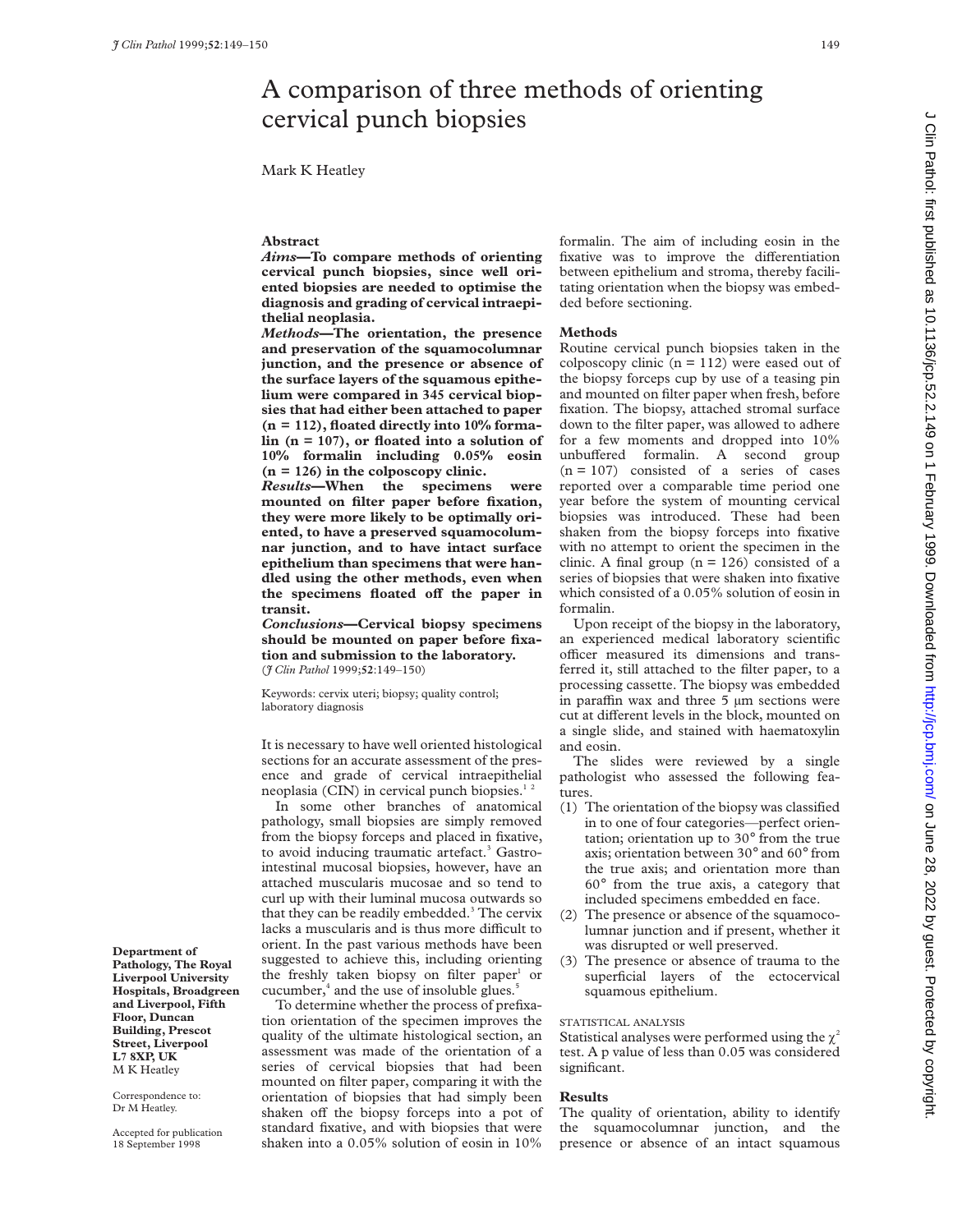# A comparison of three methods of orienting cervical punch biopsies

Mark K Heatley

## **Abstract**

*Aims***—To compare methods of orienting cervical punch biopsies, since well oriented biopsies are needed to optimise the diagnosis and grading of cervical intraepithelial neoplasia.**

*Methods***—The orientation, the presence and preservation of the squamocolumnar junction, and the presence or absence of the surface layers of the squamous epithelium were compared in 345 cervical biopsies that had either been attached to paper (n = 112), floated directly into 10% formalin (n = 107), or floated into a solution of 10% formalin including 0.05% eosin (n = 126) in the colposcopy clinic.**

*Results***—When the specimens were mounted on filter paper before fixation, they were more likely to be optimally oriented, to have a preserved squamocolumnar junction, and to have intact surface epithelium than specimens that were handled using the other methods, even when** the specimens floated off the paper in **transit.**

*Conclusions***—Cervical biopsy specimens should be mounted on paper before fixation and submission to the laboratory.** (*J Clin Pathol* 1999;**52**:149–150)

Keywords: cervix uteri; biopsy; quality control; laboratory diagnosis

It is necessary to have well oriented histological sections for an accurate assessment of the presence and grade of cervical intraepithelial neoplasia (CIN) in cervical punch biopsies.<sup>12</sup>

In some other branches of anatomical pathology, small biopsies are simply removed from the biopsy forceps and placed in fixative, to avoid inducing traumatic artefact.<sup>3</sup> Gastrointestinal mucosal biopsies, however, have an attached muscularis mucosae and so tend to curl up with their luminal mucosa outwards so that they can be readily embedded.<sup>3</sup> The cervix lacks a muscularis and is thus more difficult to orient. In the past various methods have been suggested to achieve this, including orienting the freshly taken biopsy on filter paper<sup>1</sup> or cucumber, $4$  and the use of insoluble glues. $5$ 

To determine whether the process of prefixation orientation of the specimen improves the quality of the ultimate histological section, an assessment was made of the orientation of a series of cervical biopsies that had been mounted on filter paper, comparing it with the orientation of biopsies that had simply been shaken off the biopsy forceps into a pot of standard fixative, and with biopsies that were shaken into a 0.05% solution of eosin in 10%

formalin. The aim of including eosin in the fixative was to improve the differentiation between epithelium and stroma, thereby facilitating orientation when the biopsy was embedded before sectioning.

#### **Methods**

Routine cervical punch biopsies taken in the colposcopy clinic  $(n = 112)$  were eased out of the biopsy forceps cup by use of a teasing pin and mounted on filter paper when fresh, before fixation. The biopsy, attached stromal surface down to the filter paper, was allowed to adhere for a few moments and dropped into 10% unbuffered formalin. A second group  $(n = 107)$  consisted of a series of cases reported over a comparable time period one year before the system of mounting cervical biopsies was introduced. These had been shaken from the biopsy forceps into fixative with no attempt to orient the specimen in the clinic. A final group  $(n = 126)$  consisted of a series of biopsies that were shaken into fixative which consisted of a 0.05% solution of eosin in formalin.

Upon receipt of the biopsy in the laboratory, an experienced medical laboratory scientific officer measured its dimensions and transferred it, still attached to the filter paper, to a processing cassette. The biopsy was embedded in paraffin wax and three  $5 \mu m$  sections were cut at different levels in the block, mounted on a single slide, and stained with haematoxylin and eosin.

The slides were reviewed by a single pathologist who assessed the following features.

- (1) The orientation of the biopsy was classified in to one of four categories—perfect orientation; orientation up to 30° from the true axis; orientation between 30° and 60° from the true axis; and orientation more than 60° from the true axis, a category that included specimens embedded en face.
- (2) The presence or absence of the squamocolumnar junction and if present, whether it was disrupted or well preserved.
- (3) The presence or absence of trauma to the superficial layers of the ectocervical squamous epithelium.

#### STATISTICAL ANALYSIS

Statistical analyses were performed using the  $\chi^2$ test. A p value of less than 0.05 was considered significant.

## **Results**

The quality of orientation, ability to identify the squamocolumnar junction, and the presence or absence of an intact squamous

**Department of Pathology, The Royal Liverpool University Hospitals, Broadgreen and Liverpool, Fifth Floor, Duncan Building, Prescot Street, Liverpool L7 8XP, UK** M K Heatley

Correspondence to: Dr M Heatley.

Accepted for publication 18 September 1998